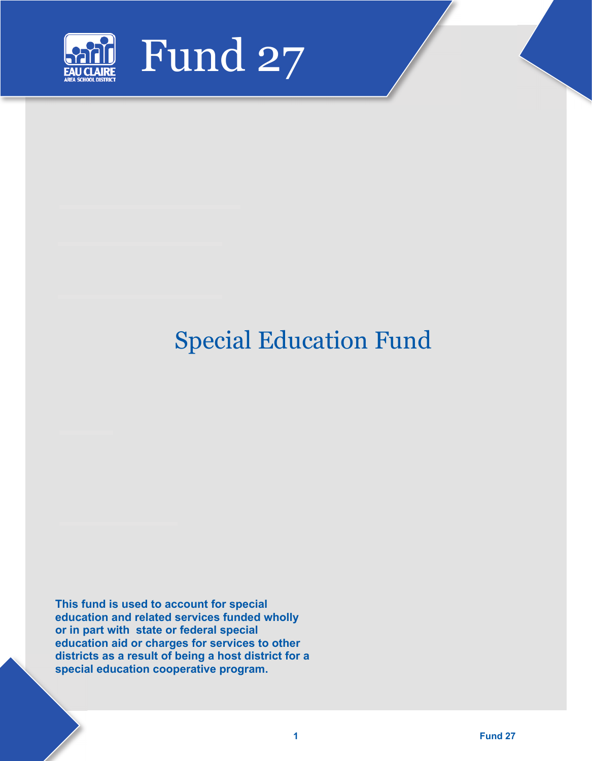

# Special Education Fund

**This fund is used to account for special education and related services funded wholly or in part with state or federal special education aid or charges for services to other districts as a result of being a host district for a special education cooperative program.**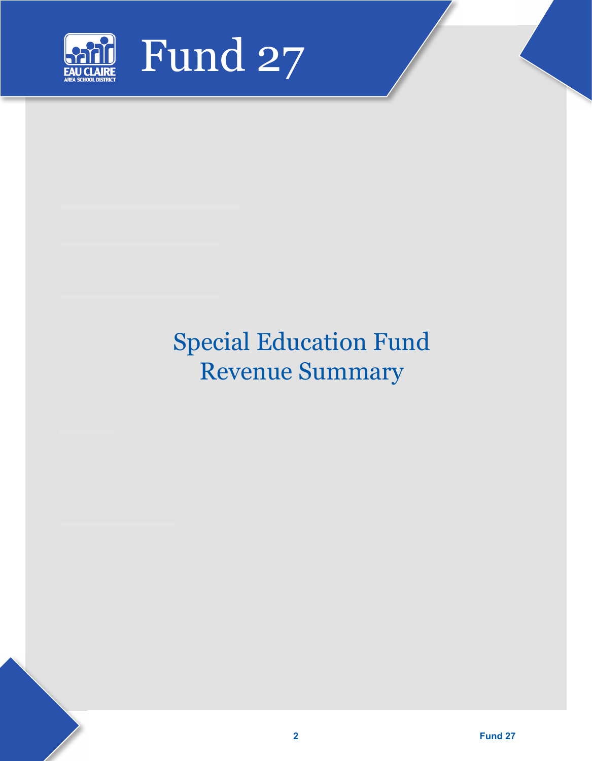

# Special Education Fund Revenue Summary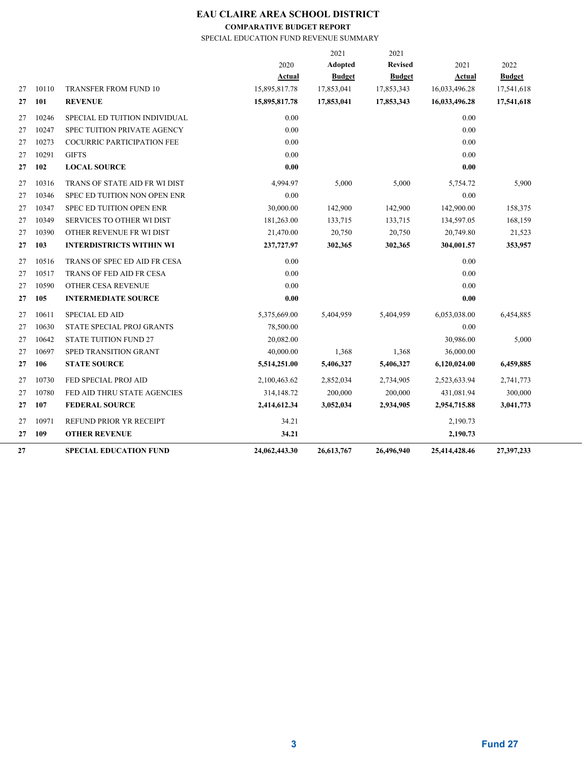**COMPARATIVE BUDGET REPORT**

SPECIAL EDUCATION FUND REVENUE SUMMARY

|    |       |                                   |               | 2021          | 2021           |               |               |
|----|-------|-----------------------------------|---------------|---------------|----------------|---------------|---------------|
|    |       |                                   | 2020          | Adopted       | <b>Revised</b> | 2021          | 2022          |
|    |       |                                   | Actual        | <b>Budget</b> | <b>Budget</b>  | Actual        | <b>Budget</b> |
| 27 | 10110 | <b>TRANSFER FROM FUND 10</b>      | 15,895,817.78 | 17,853,041    | 17,853,343     | 16,033,496.28 | 17,541,618    |
| 27 | 101   | <b>REVENUE</b>                    | 15,895,817.78 | 17,853,041    | 17,853,343     | 16,033,496.28 | 17,541,618    |
| 27 | 10246 | SPECIAL ED TUITION INDIVIDUAL     | 0.00          |               |                | 0.00          |               |
| 27 | 10247 | SPEC TUITION PRIVATE AGENCY       | 0.00          |               |                | 0.00          |               |
| 27 | 10273 | <b>COCURRIC PARTICIPATION FEE</b> | 0.00          |               |                | 0.00          |               |
| 27 | 10291 | <b>GIFTS</b>                      | 0.00          |               |                | 0.00          |               |
| 27 | 102   | <b>LOCAL SOURCE</b>               | 0.00          |               |                | 0.00          |               |
| 27 | 10316 | TRANS OF STATE AID FR WI DIST     | 4,994.97      | 5,000         | 5,000          | 5,754.72      | 5,900         |
| 27 | 10346 | SPEC ED TUITION NON OPEN ENR      | 0.00          |               |                | 0.00          |               |
| 27 | 10347 | SPEC ED TUITION OPEN ENR          | 30,000.00     | 142,900       | 142,900        | 142,900.00    | 158,375       |
| 27 | 10349 | SERVICES TO OTHER WI DIST         | 181,263.00    | 133,715       | 133,715        | 134,597.05    | 168,159       |
| 27 | 10390 | OTHER REVENUE FR WI DIST          | 21,470.00     | 20,750        | 20,750         | 20,749.80     | 21,523        |
| 27 | 103   | <b>INTERDISTRICTS WITHIN WI</b>   | 237,727.97    | 302,365       | 302,365        | 304,001.57    | 353,957       |
| 27 | 10516 | TRANS OF SPEC ED AID FR CESA      | 0.00          |               |                | 0.00          |               |
| 27 | 10517 | TRANS OF FED AID FR CESA          | 0.00          |               |                | 0.00          |               |
| 27 | 10590 | OTHER CESA REVENUE                | 0.00          |               |                | 0.00          |               |
| 27 | 105   | <b>INTERMEDIATE SOURCE</b>        | 0.00          |               |                | 0.00          |               |
| 27 | 10611 | <b>SPECIAL ED AID</b>             | 5,375,669.00  | 5,404,959     | 5,404,959      | 6,053,038.00  | 6,454,885     |
| 27 | 10630 | STATE SPECIAL PROJ GRANTS         | 78,500.00     |               |                | 0.00          |               |
| 27 | 10642 | <b>STATE TUITION FUND 27</b>      | 20,082.00     |               |                | 30,986.00     | 5,000         |
| 27 | 10697 | SPED TRANSITION GRANT             | 40,000.00     | 1,368         | 1,368          | 36,000.00     |               |
| 27 | 106   | <b>STATE SOURCE</b>               | 5,514,251.00  | 5,406,327     | 5,406,327      | 6,120,024.00  | 6,459,885     |
| 27 | 10730 | FED SPECIAL PROJ AID              | 2,100,463.62  | 2,852,034     | 2,734,905      | 2,523,633.94  | 2,741,773     |
| 27 | 10780 | FED AID THRU STATE AGENCIES       | 314,148.72    | 200,000       | 200,000        | 431,081.94    | 300,000       |
| 27 | 107   | <b>FEDERAL SOURCE</b>             | 2,414,612.34  | 3,052,034     | 2,934,905      | 2,954,715.88  | 3,041,773     |
| 27 | 10971 | REFUND PRIOR YR RECEIPT           | 34.21         |               |                | 2,190.73      |               |
| 27 | 109   | <b>OTHER REVENUE</b>              | 34.21         |               |                | 2,190.73      |               |
| 27 |       | <b>SPECIAL EDUCATION FUND</b>     | 24,062,443.30 | 26,613,767    | 26,496,940     | 25,414,428.46 | 27,397,233    |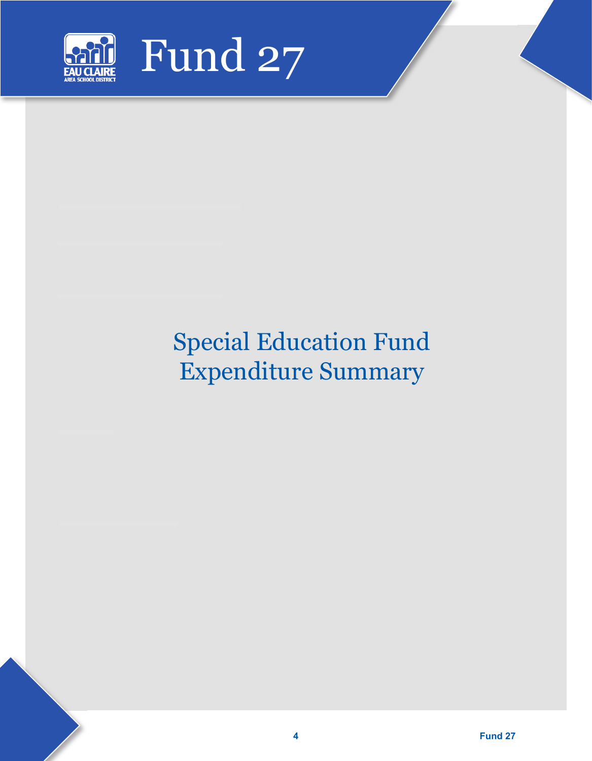

# Special Education Fund Expenditure Summary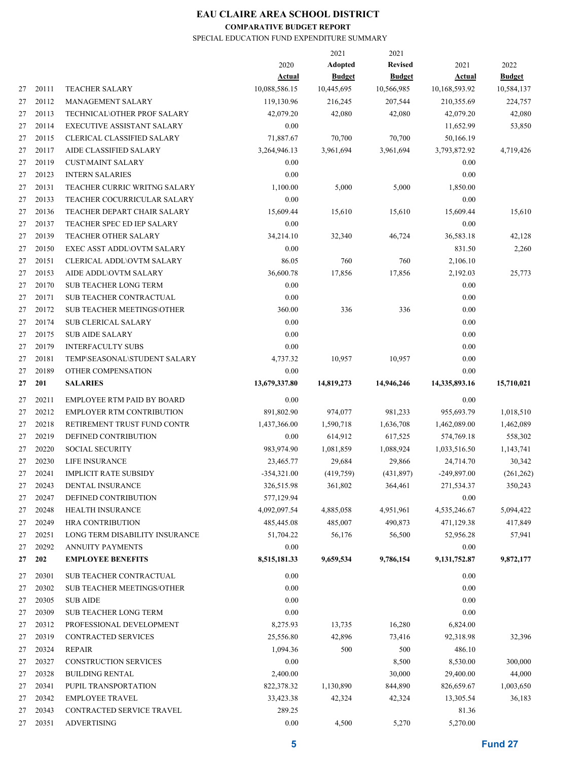#### **COMPARATIVE BUDGET REPORT**

#### SPECIAL EDUCATION FUND EXPENDITURE SUMMARY

|    |       |                                   |               | 2021          | 2021           |               |               |
|----|-------|-----------------------------------|---------------|---------------|----------------|---------------|---------------|
|    |       |                                   | 2020          | Adopted       | <b>Revised</b> | 2021          | 2022          |
|    |       |                                   | Actual        | <b>Budget</b> | <b>Budget</b>  | <b>Actual</b> | <b>Budget</b> |
| 27 | 20111 | <b>TEACHER SALARY</b>             | 10,088,586.15 | 10,445,695    | 10,566,985     | 10,168,593.92 | 10,584,137    |
| 27 | 20112 | <b>MANAGEMENT SALARY</b>          | 119,130.96    | 216,245       | 207,544        | 210,355.69    | 224,757       |
| 27 | 20113 | TECHNICAL\OTHER PROF SALARY       | 42,079.20     | 42,080        | 42,080         | 42,079.20     | 42,080        |
| 27 | 20114 | <b>EXECUTIVE ASSISTANT SALARY</b> | 0.00          |               |                | 11,652.99     | 53,850        |
| 27 | 20115 | CLERICAL CLASSIFIED SALARY        | 71,887.67     | 70,700        | 70,700         | 50,166.19     |               |
| 27 | 20117 | AIDE CLASSIFIED SALARY            | 3,264,946.13  | 3,961,694     | 3,961,694      | 3,793,872.92  | 4,719,426     |
| 27 | 20119 | <b>CUST\MAINT SALARY</b>          | 0.00          |               |                | 0.00          |               |
| 27 | 20123 | <b>INTERN SALARIES</b>            | 0.00          |               |                | 0.00          |               |
| 27 | 20131 | TEACHER CURRIC WRITNG SALARY      | 1,100.00      | 5,000         | 5,000          | 1,850.00      |               |
| 27 | 20133 | TEACHER COCURRICULAR SALARY       | 0.00          |               |                | 0.00          |               |
| 27 | 20136 | TEACHER DEPART CHAIR SALARY       | 15,609.44     | 15,610        | 15,610         | 15,609.44     | 15,610        |
| 27 | 20137 | TEACHER SPEC ED IEP SALARY        | 0.00          |               |                | 0.00          |               |
| 27 | 20139 | TEACHER OTHER SALARY              | 34,214.10     | 32,340        | 46,724         | 36,583.18     | 42,128        |
| 27 | 20150 | <b>EXEC ASST ADDL\OVTM SALARY</b> | 0.00          |               |                | 831.50        | 2,260         |
| 27 | 20151 | <b>CLERICAL ADDL\OVTM SALARY</b>  | 86.05         | 760           | 760            | 2,106.10      |               |
| 27 | 20153 | AIDE ADDL\OVTM SALARY             | 36,600.78     | 17,856        | 17,856         | 2,192.03      | 25,773        |
| 27 | 20170 | <b>SUB TEACHER LONG TERM</b>      | 0.00          |               |                | 0.00          |               |
| 27 | 20171 | <b>SUB TEACHER CONTRACTUAL</b>    | 0.00          |               |                | 0.00          |               |
| 27 | 20172 | <b>SUB TEACHER MEETINGS\OTHER</b> | 360.00        | 336           | 336            | 0.00          |               |
| 27 | 20174 | <b>SUB CLERICAL SALARY</b>        | 0.00          |               |                | 0.00          |               |
| 27 | 20175 | <b>SUB AIDE SALARY</b>            | 0.00          |               |                | 0.00          |               |
| 27 | 20179 | <b>INTERFACULTY SUBS</b>          | 0.00          |               |                | 0.00          |               |
|    | 20181 |                                   |               | 10,957        | 10,957         | 0.00          |               |
| 27 |       | TEMP\SEASONAL\STUDENT SALARY      | 4,737.32      |               |                |               |               |
| 27 | 20189 | OTHER COMPENSATION                | 0.00          |               |                | 0.00          |               |
| 27 | 201   | <b>SALARIES</b>                   | 13,679,337.80 | 14,819,273    | 14,946,246     | 14,335,893.16 | 15,710,021    |
| 27 | 20211 | <b>EMPLOYEE RTM PAID BY BOARD</b> | 0.00          |               |                | 0.00          |               |
| 27 | 20212 | <b>EMPLOYER RTM CONTRIBUTION</b>  | 891,802.90    | 974,077       | 981,233        | 955,693.79    | 1,018,510     |
| 27 | 20218 | RETIREMENT TRUST FUND CONTR       | 1,437,366.00  | 1,590,718     | 1,636,708      | 1,462,089.00  | 1,462,089     |
| 27 | 20219 | DEFINED CONTRIBUTION              | 0.00          | 614,912       | 617,525        | 574,769.18    | 558,302       |
| 27 | 20220 | <b>SOCIAL SECURITY</b>            | 983,974.90    | 1,081,859     | 1,088,924      | 1,033,516.50  | 1,143,741     |
| 27 | 20230 | LIFE INSURANCE                    | 23,465.77     | 29,684        | 29,866         | 24,714.70     | 30,342        |
| 27 | 20241 | <b>IMPLICIT RATE SUBSIDY</b>      | $-354,321.00$ | (419,759)     | (431,897)      | -249,897.00   | (261, 262)    |
| 27 | 20243 | DENTAL INSURANCE                  | 326,515.98    | 361,802       | 364,461        | 271,534.37    | 350,243       |
| 27 | 20247 | DEFINED CONTRIBUTION              | 577,129.94    |               |                | 0.00          |               |
| 27 | 20248 | HEALTH INSURANCE                  | 4,092,097.54  | 4,885,058     | 4,951,961      | 4,535,246.67  | 5,094,422     |
| 27 | 20249 | <b>HRA CONTRIBUTION</b>           | 485,445.08    | 485,007       | 490,873        | 471,129.38    | 417,849       |
| 27 | 20251 | LONG TERM DISABILITY INSURANCE    | 51,704.22     | 56,176        | 56,500         | 52,956.28     | 57,941        |
| 27 | 20292 | <b>ANNUITY PAYMENTS</b>           | 0.00          |               |                | 0.00          |               |
| 27 | 202   | <b>EMPLOYEE BENEFITS</b>          | 8,515,181.33  | 9,659,534     | 9,786,154      | 9,131,752.87  | 9,872,177     |
|    |       |                                   |               |               |                |               |               |
| 27 | 20301 | SUB TEACHER CONTRACTUAL           | 0.00          |               |                | 0.00          |               |
| 27 | 20302 | <b>SUB TEACHER MEETINGS/OTHER</b> | 0.00          |               |                | 0.00          |               |
| 27 | 20305 | <b>SUB AIDE</b>                   | 0.00          |               |                | 0.00          |               |
| 27 | 20309 | <b>SUB TEACHER LONG TERM</b>      | 0.00          |               |                | 0.00          |               |
| 27 | 20312 | PROFESSIONAL DEVELOPMENT          | 8,275.93      | 13,735        | 16,280         | 6,824.00      |               |
| 27 | 20319 | CONTRACTED SERVICES               | 25,556.80     | 42,896        | 73,416         | 92,318.98     | 32,396        |
| 27 | 20324 | <b>REPAIR</b>                     | 1,094.36      | 500           | 500            | 486.10        |               |
| 27 | 20327 | <b>CONSTRUCTION SERVICES</b>      | 0.00          |               | 8,500          | 8,530.00      | 300,000       |
| 27 | 20328 | <b>BUILDING RENTAL</b>            | 2,400.00      |               | 30,000         | 29,400.00     | 44,000        |
| 27 | 20341 | PUPIL TRANSPORTATION              | 822,378.32    | 1,130,890     | 844,890        | 826,659.67    | 1,003,650     |
| 27 | 20342 | <b>EMPLOYEE TRAVEL</b>            | 33,423.38     | 42,324        | 42,324         | 13,305.54     | 36,183        |
| 27 | 20343 | CONTRACTED SERVICE TRAVEL         | 289.25        |               |                | 81.36         |               |
| 27 | 20351 | <b>ADVERTISING</b>                | 0.00          | 4,500         | 5,270          | 5,270.00      |               |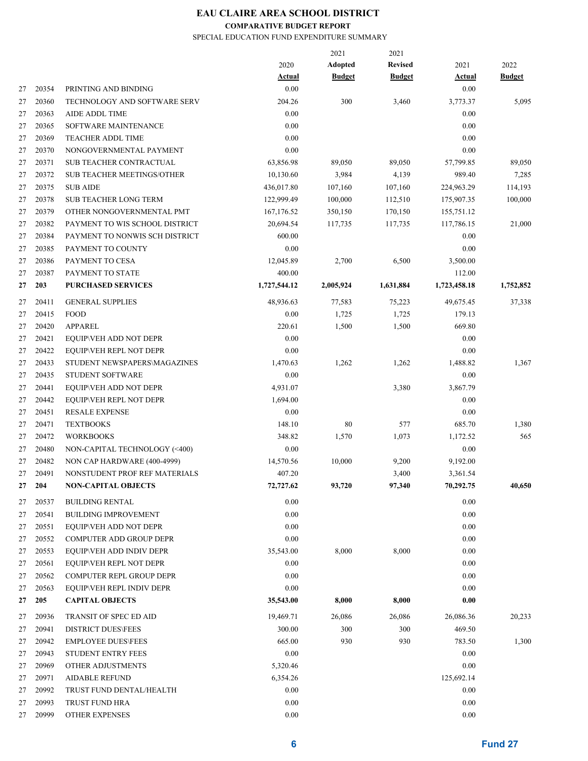### **COMPARATIVE BUDGET REPORT**

SPECIAL EDUCATION FUND EXPENDITURE SUMMARY

|    |       |                                   |              | 2021          | 2021           |               |               |
|----|-------|-----------------------------------|--------------|---------------|----------------|---------------|---------------|
|    |       |                                   | 2020         | Adopted       | <b>Revised</b> | 2021          | 2022          |
|    |       |                                   | Actual       | <b>Budget</b> | <b>Budget</b>  | <b>Actual</b> | <b>Budget</b> |
| 27 | 20354 | PRINTING AND BINDING              | 0.00         |               |                | 0.00          |               |
| 27 | 20360 | TECHNOLOGY AND SOFTWARE SERV      | 204.26       | 300           | 3,460          | 3,773.37      | 5,095         |
| 27 | 20363 | <b>AIDE ADDL TIME</b>             | 0.00         |               |                | 0.00          |               |
| 27 | 20365 | SOFTWARE MAINTENANCE              | 0.00         |               |                | 0.00          |               |
| 27 | 20369 | <b>TEACHER ADDL TIME</b>          | 0.00         |               |                | 0.00          |               |
| 27 | 20370 | NONGOVERNMENTAL PAYMENT           | 0.00         |               |                | 0.00          |               |
| 27 | 20371 | SUB TEACHER CONTRACTUAL           | 63,856.98    | 89,050        | 89,050         | 57,799.85     | 89,050        |
| 27 | 20372 | <b>SUB TEACHER MEETINGS/OTHER</b> | 10,130.60    | 3,984         | 4,139          | 989.40        | 7,285         |
| 27 | 20375 | <b>SUB AIDE</b>                   | 436,017.80   | 107,160       | 107,160        | 224,963.29    | 114,193       |
| 27 | 20378 | <b>SUB TEACHER LONG TERM</b>      | 122,999.49   | 100,000       | 112,510        | 175,907.35    | 100,000       |
| 27 | 20379 | OTHER NONGOVERNMENTAL PMT         | 167, 176.52  | 350,150       | 170,150        | 155,751.12    |               |
| 27 | 20382 | PAYMENT TO WIS SCHOOL DISTRICT    | 20,694.54    | 117,735       | 117,735        | 117,786.15    | 21,000        |
| 27 | 20384 | PAYMENT TO NONWIS SCH DISTRICT    | 600.00       |               |                | 0.00          |               |
| 27 | 20385 | PAYMENT TO COUNTY                 | 0.00         |               |                | 0.00          |               |
| 27 | 20386 | PAYMENT TO CESA                   | 12,045.89    | 2,700         | 6,500          | 3,500.00      |               |
| 27 | 20387 | PAYMENT TO STATE                  | 400.00       |               |                | 112.00        |               |
| 27 | 203   | <b>PURCHASED SERVICES</b>         | 1,727,544.12 | 2,005,924     | 1,631,884      | 1,723,458.18  | 1,752,852     |
| 27 | 20411 | <b>GENERAL SUPPLIES</b>           | 48,936.63    | 77,583        | 75,223         | 49,675.45     | 37,338        |
| 27 | 20415 | FOOD                              | 0.00         | 1,725         | 1,725          | 179.13        |               |
| 27 | 20420 | <b>APPAREL</b>                    | 220.61       | 1,500         | 1,500          | 669.80        |               |
| 27 | 20421 | EQUIP\VEH ADD NOT DEPR            | 0.00         |               |                | 0.00          |               |
| 27 | 20422 | EQUIP\VEH REPL NOT DEPR           | 0.00         |               |                | 0.00          |               |
| 27 | 20433 | STUDENT NEWSPAPERS\MAGAZINES      | 1,470.63     | 1,262         | 1,262          | 1,488.82      | 1,367         |
| 27 | 20435 | STUDENT SOFTWARE                  | 0.00         |               |                | 0.00          |               |
| 27 | 20441 | EQUIP\VEH ADD NOT DEPR            | 4,931.07     |               | 3,380          | 3,867.79      |               |
| 27 | 20442 | EQUIP\VEH REPL NOT DEPR           | 1,694.00     |               |                | 0.00          |               |
| 27 | 20451 | <b>RESALE EXPENSE</b>             | 0.00         |               |                | 0.00          |               |
| 27 | 20471 | <b>TEXTBOOKS</b>                  | 148.10       | 80            | 577            | 685.70        | 1,380         |
| 27 | 20472 | <b>WORKBOOKS</b>                  | 348.82       | 1,570         | 1,073          | 1,172.52      | 565           |
| 27 | 20480 | NON-CAPITAL TECHNOLOGY (<400)     | 0.00         |               |                | 0.00          |               |
| 27 | 20482 | NON CAP HARDWARE (400-4999)       | 14,570.56    | 10,000        | 9,200          | 9,192.00      |               |
| 27 | 20491 | NONSTUDENT PROF REF MATERIALS     | 407.20       |               |                |               |               |
|    |       |                                   |              |               | 3,400          | 3,361.54      |               |
| 27 | 204   | <b>NON-CAPITAL OBJECTS</b>        | 72,727.62    | 93,720        | 97,340         | 70,292.75     | 40,650        |
| 27 | 20537 | <b>BUILDING RENTAL</b>            | 0.00         |               |                | 0.00          |               |
| 27 | 20541 | <b>BUILDING IMPROVEMENT</b>       | 0.00         |               |                | 0.00          |               |
| 27 | 20551 | EQUIP\VEH ADD NOT DEPR            | 0.00         |               |                | 0.00          |               |
| 27 | 20552 | COMPUTER ADD GROUP DEPR           | 0.00         |               |                | 0.00          |               |
| 27 | 20553 | EQUIP\VEH ADD INDIV DEPR          | 35,543.00    | 8,000         | 8,000          | 0.00          |               |
| 27 | 20561 | EQUIP\VEH REPL NOT DEPR           | 0.00         |               |                | 0.00          |               |
| 27 | 20562 | COMPUTER REPL GROUP DEPR          | 0.00         |               |                | 0.00          |               |
| 27 | 20563 | EQUIP\VEH REPL INDIV DEPR         | 0.00         |               |                | 0.00          |               |
| 27 | 205   | <b>CAPITAL OBJECTS</b>            | 35,543.00    | 8,000         | 8,000          | 0.00          |               |
| 27 | 20936 | TRANSIT OF SPEC ED AID            | 19,469.71    | 26,086        | 26,086         | 26,086.36     | 20,233        |
| 27 | 20941 | <b>DISTRICT DUES\FEES</b>         | 300.00       | 300           | 300            | 469.50        |               |
| 27 | 20942 | <b>EMPLOYEE DUES\FEES</b>         | 665.00       | 930           | 930            | 783.50        | 1,300         |
| 27 | 20943 | STUDENT ENTRY FEES                | 0.00         |               |                | 0.00          |               |
| 27 | 20969 | OTHER ADJUSTMENTS                 | 5,320.46     |               |                | 0.00          |               |
| 27 | 20971 | <b>AIDABLE REFUND</b>             | 6,354.26     |               |                | 125,692.14    |               |
| 27 | 20992 | TRUST FUND DENTAL/HEALTH          | 0.00         |               |                | 0.00          |               |
| 27 | 20993 | TRUST FUND HRA                    | 0.00         |               |                | 0.00          |               |
| 27 | 20999 | OTHER EXPENSES                    | 0.00         |               |                | 0.00          |               |